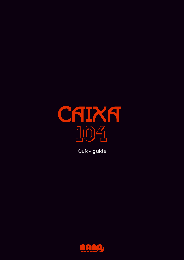

Quick guide

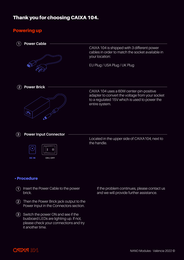# Thank you for choosing CAIXA 104.

## Powering up



#### • Procedure

- 1) Insert the Power Cable to the power brick.
- Then the Power Brick jack output to the **2** Power Input in the Connectors section.
- **3**) Switch the power ON and see if the busboard LEDs are lighting up. If not, please check your connections and try it another time.

If the problem continues, please contact us and we will provide further assistance.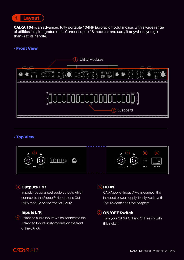

CAIXA 104 is an advanced fully portable 104HP Eurorack modular case, with a wide range of utilities fully integrated on it. Connect up to 18 modules and carry it anywhere you go thanks to its handle.

#### • Front View



#### • Top View



## Outputs L/R **3 5**

Impedance balanced audio outputs which connect to the Stereo & Headphone Out utility module on the front of CAIXA.

### Inputs L/R

4) Balanced audio inputs which connect to the Balanced Inputs utility module on the front of the CAIXA.

### $\circ$  DC IN

CAIXA power input. Always connect the included power supply, it only works with 15V 4A center positive adapters.

### **6** ON/OFF Switch

Turn your CAIXA ON and OFF easily with this switch.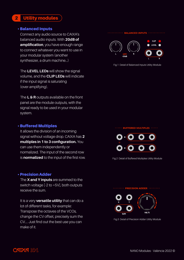## 2 Utility modules

#### • Balanced Inputs

Connect any audio source to CAIXA's balanced audio inputs. With **20dB of amplification**, you have enough range to connect whatever you want to use in your modular system (another synthesizer, a drum machine...)

The **LEVEL LEDs** will show the signal volume, and the **CLIP LEDs** will indicate if the input signal is saturating (over-amplifying).

The **L & R** outputs available on the front panel are the module outputs, with the signal ready to be used in your modular system.

#### • Buffered Multiples

It allows the division of an incoming signal without voltage drop. CAIXA has **2 multiples in 1 to 3 configuration.** You can use them independently or normalized. The input of the second row is **normalized** to the input of the first row.

#### • Precision Adder

The **X and Y inputs** are summed to the switch voltage [-2 to +5V], both outputs receive the sum.

It is a very **versatile utility** that can do a lot of different tasks, for example: Transpose the octaves of the VCOs, change the CV offset, precisely sum the CV.... Just find out the best use you can make of it.

#### **BALANCED INPUTS**



Fig.1 Detail of Balanced Inputs Utility Module

#### **BUFFERED MULTIPLES ···**



Fig.2 Detail of Buffered Multiples Utility Module



Fig.3 Detail of Precision Adder Utility Module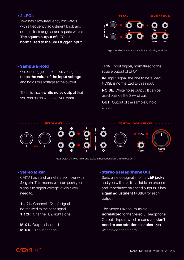### • 2 LFOs

Two basic low-frequency oscillators with a frequency adjustment knob and outputs for triangular and square waves. **The square output of LFO1 is normalized to the S&H trigger input.**



Fig.4 Detail of 2LFOs and Sample & Hold Utility Modules

#### • Sample & Hold

On each trigger, the output voltage **takes the value of the input voltage** and holds this voltage at the output.

There is also a **white noise output** that you can patch wherever you want.

**TRIG.** Input trigger, normalized to the square output of LFO1.

**IN.** Input signal, the one to be "sliced". NOISE is normalized to this input.

**NOISE.** White noise output. It can be used outside the S&H circuit.

**OUT.** Output of the sample & hold circuit.



Fig.5 Detail of Stereo Mixer and Stereo & Headphone Out Utility Modules

#### • Stereo Mixer

CAIXA has a 2 channel stereo mixer with **2x gain**. This means you can push your signals to higher voltage levels if you need to.

**1L, 2L.** Channel 1/2 Left signal, normalized to the right signal. **1R,2R.** Channel 1/2, right signal.

**MIX L.** Output channel L **MIX R.** Output channel R

#### • Stereo & Headphone Out

Send a stereo signal into the **L&R jacks** and you will have it available on phones and impedance balanced outputs. It has a **gain adjustment (+6dB)** for each output.

The Stereo Mixer outputs are **normalized** to the Stereo & Headphone Output's inputs, which means you **don't need to use additional cables** if you want to connect them.

# **CAIXA 104**

**+6dB**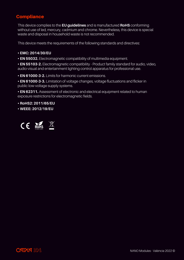## **Compliance**

This device complies to the **EU guidelines** and is manufactured **RoHS** conforming without use of led, mercury, cadmium and chrome. Nevertheless, this device is special waste and disposal in household waste is not recommended.

This device meets the requirements of the following standards and directives:

#### **• EMC: 2014/30/EU**

**• EN 55032.** Electromagnetic compatibility of multimedia equipment.

**• EN 55103-2.** Electromagnetic compatibility - Product family standard for audio, video, audio-visual and entertainment lighting control apparatus for professional use.

**• EN 61000-3-2.** Limits for harmonic current emissions.

**• EN 61000-3-3.** Limitation of voltage changes, voltage fluctuations and flicker in public low-voltage supply systems.

**• EN 62311.** Assessment of electronic and electrical equipment related to human exposure restrictions for electromagnetic fields.

**• RoHS2: 2011/65/EU**

**• WEEE: 2012/19/EU**



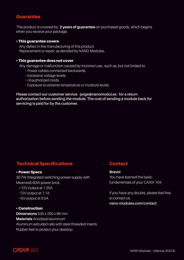### **Guarantee**

This product is covered by **2 years of guarantee** on purchased goods, which begins when you receive your package.

#### • This guarantee covers

Any defect in the manufacturing of this product. Replacement or repair, as decided by NANO Modules.

#### • This guarantee does not cover

Any damage or malfunction caused by incorrect use , such as, but not limited to:

- **-** Power cables connected backwards.
- **-** Excessive voltage levels.
- Unauthorized mods.
- **-** Exposure to extreme temperature or moisture levels.

**Please contact our customer service - jorge@nanomodul.es - for a return authorization before sending the module. The cost of sending a module back for servicing is paid for by the customer.**

### Technical Specifications

#### • Power Specs

30.7W Integrated switching power supply with Meanwell 60W power brick.

+12V output at 1.25A -12V output at 1.1A +5V output at 0.5A

#### • Construction

**Dimensions** 535 x 200 x 86 mm **Materials** Anodized aluminum Aluminum extruded rails with steel threaded inserts Rubber feet to protect your desktop.

## **Contact**

#### **Bravo!**

You have learned the basic fundamentals of your CAIXA 104.

If you have any doubts, please feel free to contact us.

**nano-modules.com/contact**